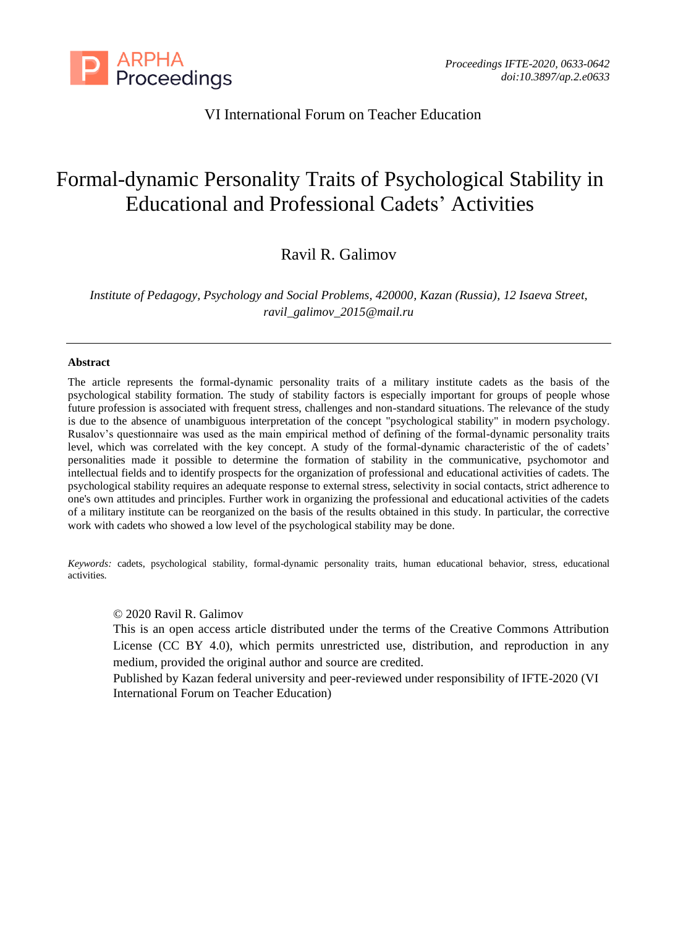

## VI International Forum on Teacher Education

# Formal-dynamic Personality Traits of Psychological Stability in Educational and Professional Cadets' Activities

# Ravil R. Galimov

*Institute of Pedagogy, Psychology and Social Problems, 420000, Kazan (Russia), 12 Isaeva Street, ravil\_galimov\_2015@mail.ru*

#### **Abstract**

The article represents the formal-dynamic personality traits of a military institute cadets as the basis of the psychological stability formation. The study of stability factors is especially important for groups of people whose future profession is associated with frequent stress, challenges and non-standard situations. The relevance of the study is due to the absence of unambiguous interpretation of the concept "psychological stability" in modern psychology. Rusalov's questionnaire was used as the main empirical method of defining of the formal-dynamic personality traits level, which was correlated with the key concept. A study of the formal-dynamic characteristic of the of cadets' personalities made it possible to determine the formation of stability in the communicative, psychomotor and intellectual fields and to identify prospects for the organization of professional and educational activities of cadets. The psychological stability requires an adequate response to external stress, selectivity in social contacts, strict adherence to one's own attitudes and principles. Further work in organizing the professional and educational activities of the cadets of a military institute can be reorganized on the basis of the results obtained in this study. In particular, the corrective work with cadets who showed a low level of the psychological stability may be done.

*Keywords:* cadets, psychological stability, formal-dynamic personality traits, human educational behavior, stress, educational activities.

## © 2020 Ravil R. Galimov

This is an open access article distributed under the terms of the Creative Commons Attribution License (CC BY 4.0), which permits unrestricted use, distribution, and reproduction in any medium, provided the original author and source are credited.

Published by Kazan federal university and peer-reviewed under responsibility of IFTE-2020 (VI International Forum on Teacher Education)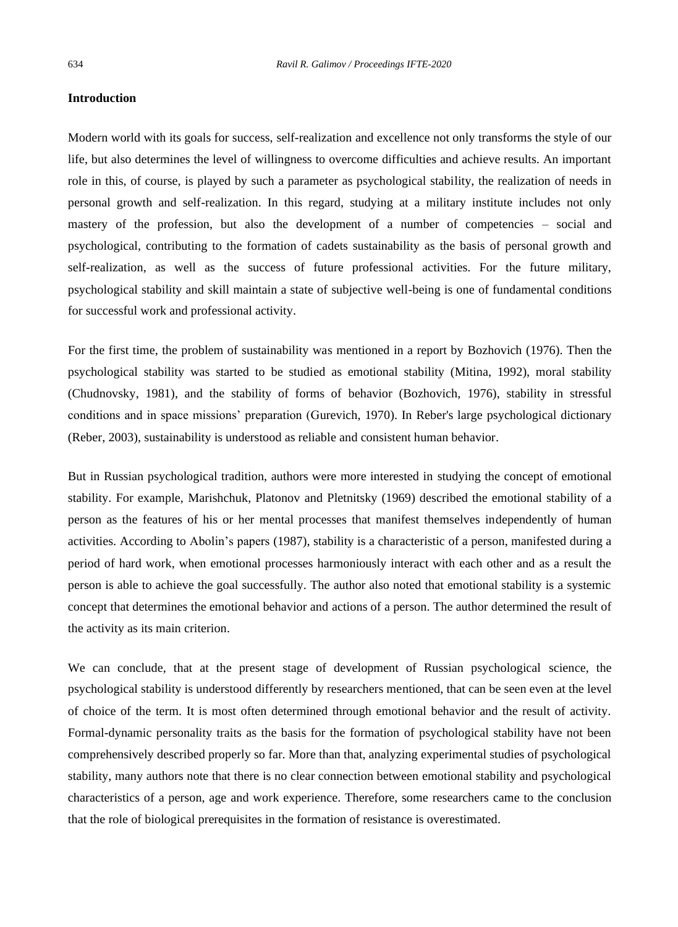## **Introduction**

Modern world with its goals for success, self-realization and excellence not only transforms the style of our life, but also determines the level of willingness to overcome difficulties and achieve results. An important role in this, of course, is played by such a parameter as psychological stability, the realization of needs in personal growth and self-realization. In this regard, studying at a military institute includes not only mastery of the profession, but also the development of a number of competencies – social and psychological, contributing to the formation of cadets sustainability as the basis of personal growth and self-realization, as well as the success of future professional activities. For the future military, psychological stability and skill maintain a state of subjective well-being is one of fundamental conditions for successful work and professional activity.

For the first time, the problem of sustainability was mentioned in a report by Bozhovich (1976). Then the psychological stability was started to be studied as emotional stability (Mitina, 1992), moral stability (Chudnovsky, 1981), and the stability of forms of behavior (Bozhovich, 1976), stability in stressful conditions and in space missions' preparation (Gurevich, 1970). In Reber's large psychological dictionary (Reber, 2003), sustainability is understood as reliable and consistent human behavior.

But in Russian psychological tradition, authors were more interested in studying the concept of emotional stability. For example, Marishchuk, Platonov and Pletnitsky (1969) described the emotional stability of a person as the features of his or her mental processes that manifest themselves independently of human activities. According to Abolin's papers (1987), stability is a characteristic of a person, manifested during a period of hard work, when emotional processes harmoniously interact with each other and as a result the person is able to achieve the goal successfully. The author also noted that emotional stability is a systemic concept that determines the emotional behavior and actions of a person. The author determined the result of the activity as its main criterion.

We can conclude, that at the present stage of development of Russian psychological science, the psychological stability is understood differently by researchers mentioned, that can be seen even at the level of choice of the term. It is most often determined through emotional behavior and the result of activity. Formal-dynamic personality traits as the basis for the formation of psychological stability have not been comprehensively described properly so far. More than that, analyzing experimental studies of psychological stability, many authors note that there is no clear connection between emotional stability and psychological characteristics of a person, age and work experience. Therefore, some researchers came to the conclusion that the role of biological prerequisites in the formation of resistance is overestimated.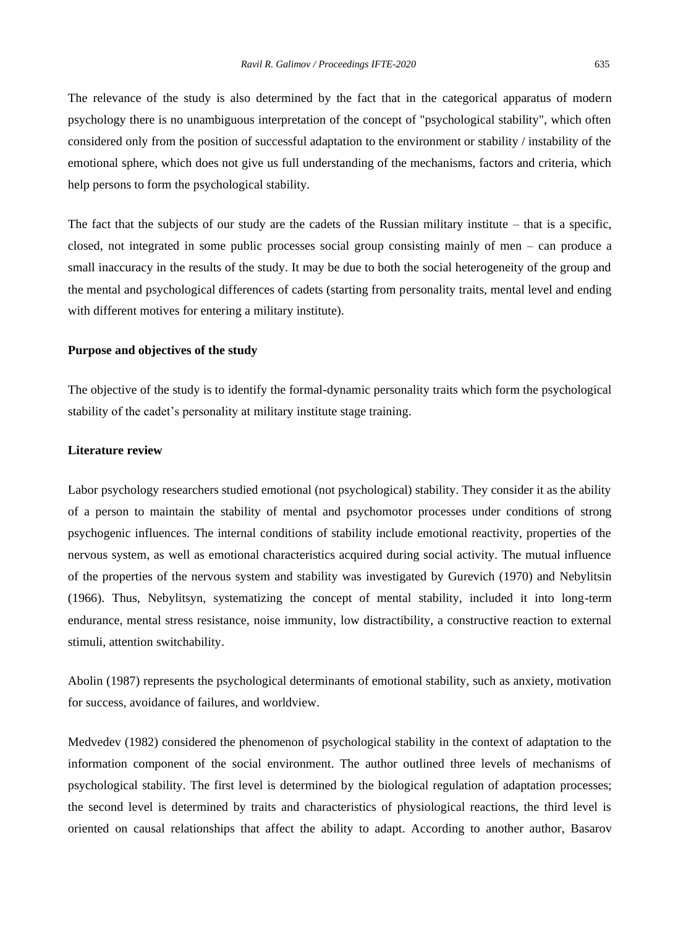The relevance of the study is also determined by the fact that in the categorical apparatus of modern psychology there is no unambiguous interpretation of the concept of "psychological stability", which often considered only from the position of successful adaptation to the environment or stability / instability of the emotional sphere, which does not give us full understanding of the mechanisms, factors and criteria, which help persons to form the psychological stability.

The fact that the subjects of our study are the cadets of the Russian military institute – that is a specific, closed, not integrated in some public processes social group consisting mainly of men – can produce a small inaccuracy in the results of the study. It may be due to both the social heterogeneity of the group and the mental and psychological differences of cadets (starting from personality traits, mental level and ending with different motives for entering a military institute).

## **Purpose and objectives of the study**

The objective of the study is to identify the formal-dynamic personality traits which form the psychological stability of the cadet's personality at military institute stage training.

## **Literature review**

Labor psychology researchers studied emotional (not psychological) stability. They consider it as the ability of a person to maintain the stability of mental and psychomotor processes under conditions of strong psychogenic influences. The internal conditions of stability include emotional reactivity, properties of the nervous system, as well as emotional characteristics acquired during social activity. The mutual influence of the properties of the nervous system and stability was investigated by Gurevich (1970) and Nebylitsin (1966). Thus, Nebylitsyn, systematizing the concept of mental stability, included it into long-term endurance, mental stress resistance, noise immunity, low distractibility, a constructive reaction to external stimuli, attention switchability.

Abolin (1987) represents the psychological determinants of emotional stability, such as anxiety, motivation for success, avoidance of failures, and worldview.

Medvedev (1982) considered the phenomenon of psychological stability in the context of adaptation to the information component of the social environment. The author outlined three levels of mechanisms of psychological stability. The first level is determined by the biological regulation of adaptation processes; the second level is determined by traits and characteristics of physiological reactions, the third level is oriented on causal relationships that affect the ability to adapt. According to another author, Basarov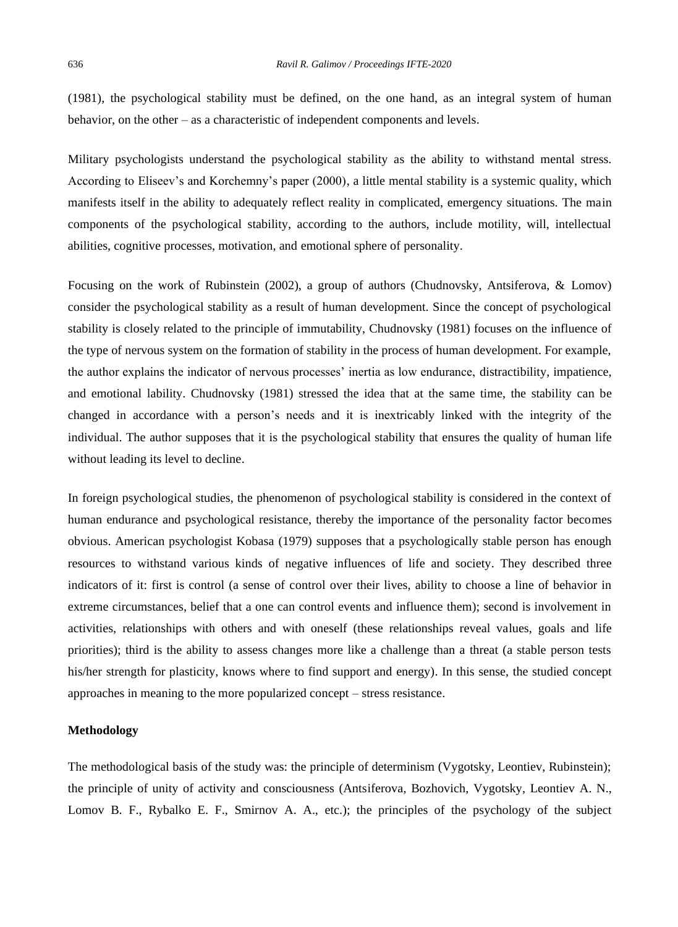(1981), the psychological stability must be defined, on the one hand, as an integral system of human behavior, on the other – as a characteristic of independent components and levels.

Military psychologists understand the psychological stability as the ability to withstand mental stress. According to Eliseev's and Korchemny's paper (2000), a little mental stability is a systemic quality, which manifests itself in the ability to adequately reflect reality in complicated, emergency situations. The main components of the psychological stability, according to the authors, include motility, will, intellectual abilities, cognitive processes, motivation, and emotional sphere of personality.

Focusing on the work of Rubinstein (2002), a group of authors (Chudnovsky, Antsiferova, & Lomov) consider the psychological stability as a result of human development. Since the concept of psychological stability is closely related to the principle of immutability, Chudnovsky (1981) focuses on the influence of the type of nervous system on the formation of stability in the process of human development. For example, the author explains the indicator of nervous processes' inertia as low endurance, distractibility, impatience, and emotional lability. Chudnovsky (1981) stressed the idea that at the same time, the stability can be changed in accordance with a person's needs and it is inextricably linked with the integrity of the individual. The author supposes that it is the psychological stability that ensures the quality of human life without leading its level to decline.

In foreign psychological studies, the phenomenon of psychological stability is considered in the context of human endurance and psychological resistance, thereby the importance of the personality factor becomes obvious. American psychologist Kobasa (1979) supposes that a psychologically stable person has enough resources to withstand various kinds of negative influences of life and society. They described three indicators of it: first is control (a sense of control over their lives, ability to choose a line of behavior in extreme circumstances, belief that a one can control events and influence them); second is involvement in activities, relationships with others and with oneself (these relationships reveal values, goals and life priorities); third is the ability to assess changes more like a challenge than a threat (a stable person tests his/her strength for plasticity, knows where to find support and energy). In this sense, the studied concept approaches in meaning to the more popularized concept – stress resistance.

## **Methodology**

The methodological basis of the study was: the principle of determinism (Vygotsky, Leontiev, Rubinstein); the principle of unity of activity and consciousness (Antsiferova, Bozhovich, Vygotsky, Leontiev A. N., Lomov B. F., Rybalko E. F., Smirnov A. A., etc.); the principles of the psychology of the subject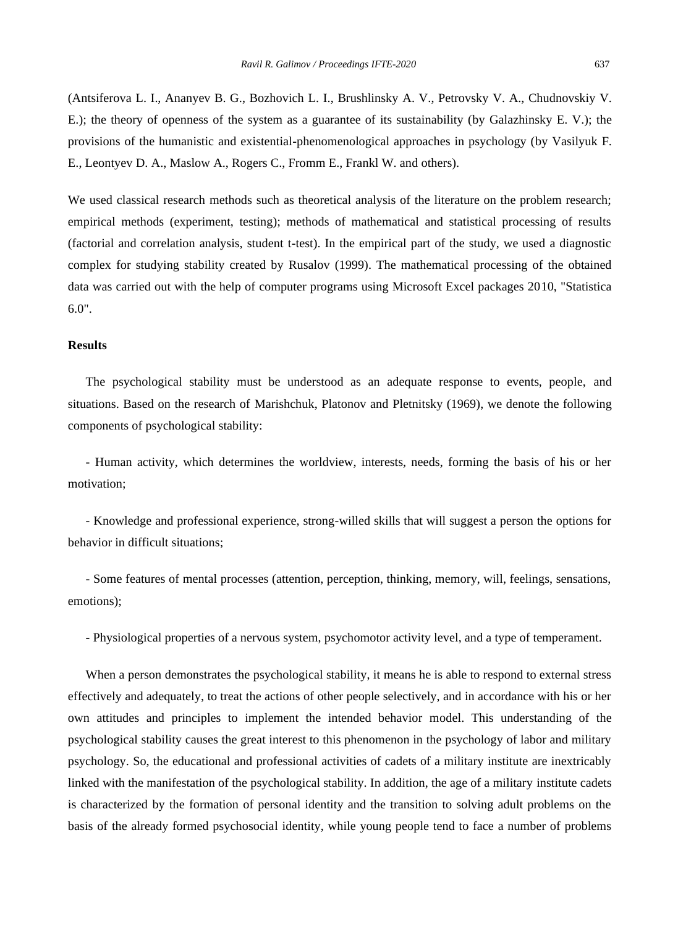(Antsiferova L. I., Ananyev B. G., Bozhovich L. I., Brushlinsky A. V., Petrovsky V. A., Chudnovskiy V. E.); the theory of openness of the system as a guarantee of its sustainability (by Galazhinsky E. V.); the provisions of the humanistic and existential-phenomenological approaches in psychology (by Vasilyuk F. E., Leontyev D. A., Maslow A., Rogers C., Fromm E., Frankl W. and others).

We used classical research methods such as theoretical analysis of the literature on the problem research; empirical methods (experiment, testing); methods of mathematical and statistical processing of results (factorial and correlation analysis, student t-test). In the empirical part of the study, we used a diagnostic complex for studying stability created by Rusalov (1999). The mathematical processing of the obtained data was carried out with the help of computer programs using Microsoft Excel packages 2010, "Statistica 6.0".

## **Results**

The psychological stability must be understood as an adequate response to events, people, and situations. Based on the research of Marishchuk, Platonov and Pletnitsky (1969), we denote the following components of psychological stability:

- Human activity, which determines the worldview, interests, needs, forming the basis of his or her motivation;

- Knowledge and professional experience, strong-willed skills that will suggest a person the options for behavior in difficult situations;

- Some features of mental processes (attention, perception, thinking, memory, will, feelings, sensations, emotions);

- Physiological properties of a nervous system, psychomotor activity level, and a type of temperament.

When a person demonstrates the psychological stability, it means he is able to respond to external stress effectively and adequately, to treat the actions of other people selectively, and in accordance with his or her own attitudes and principles to implement the intended behavior model. This understanding of the psychological stability causes the great interest to this phenomenon in the psychology of labor and military psychology. So, the educational and professional activities of cadets of a military institute are inextricably linked with the manifestation of the psychological stability. In addition, the age of a military institute cadets is characterized by the formation of personal identity and the transition to solving adult problems on the basis of the already formed psychosocial identity, while young people tend to face a number of problems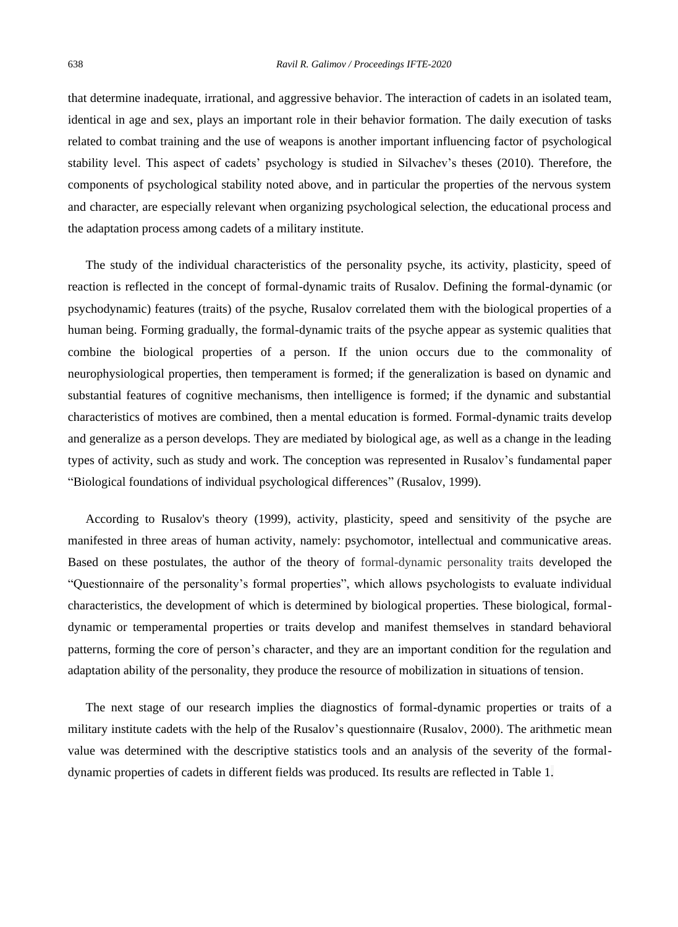that determine inadequate, irrational, and aggressive behavior. The interaction of cadets in an isolated team, identical in age and sex, plays an important role in their behavior formation. The daily execution of tasks related to combat training and the use of weapons is another important influencing factor of psychological stability level. This aspect of cadets' psychology is studied in Silvachev's theses (2010). Therefore, the components of psychological stability noted above, and in particular the properties of the nervous system and character, are especially relevant when organizing psychological selection, the educational process and the adaptation process among cadets of a military institute.

The study of the individual characteristics of the personality psyche, its activity, plasticity, speed of reaction is reflected in the concept of formal-dynamic traits of Rusalov. Defining the formal-dynamic (or psychodynamic) features (traits) of the psyche, Rusalov correlated them with the biological properties of a human being. Forming gradually, the formal-dynamic traits of the psyche appear as systemic qualities that combine the biological properties of a person. If the union occurs due to the commonality of neurophysiological properties, then temperament is formed; if the generalization is based on dynamic and substantial features of cognitive mechanisms, then intelligence is formed; if the dynamic and substantial characteristics of motives are combined, then a mental education is formed. Formal-dynamic traits develop and generalize as a person develops. They are mediated by biological age, as well as a change in the leading types of activity, such as study and work. The conception was represented in Rusalov's fundamental paper "Biological foundations of individual psychological differences" (Rusalov, 1999).

According to Rusalov's theory (1999), activity, plasticity, speed and sensitivity of the psyche are manifested in three areas of human activity, namely: psychomotor, intellectual and communicative areas. Based on these postulates, the author of the theory of formal-dynamic personality traits developed the "Questionnaire of the personality's formal properties", which allows psychologists to evaluate individual characteristics, the development of which is determined by biological properties. These biological, formaldynamic or temperamental properties or traits develop and manifest themselves in standard behavioral patterns, forming the core of person's character, and they are an important condition for the regulation and adaptation ability of the personality, they produce the resource of mobilization in situations of tension.

The next stage of our research implies the diagnostics of formal-dynamic properties or traits of a military institute cadets with the help of the Rusalov's questionnaire (Rusalov, 2000). The arithmetic mean value was determined with the descriptive statistics tools and an analysis of the severity of the formaldynamic properties of cadets in different fields was produced. Its results are reflected in Table 1.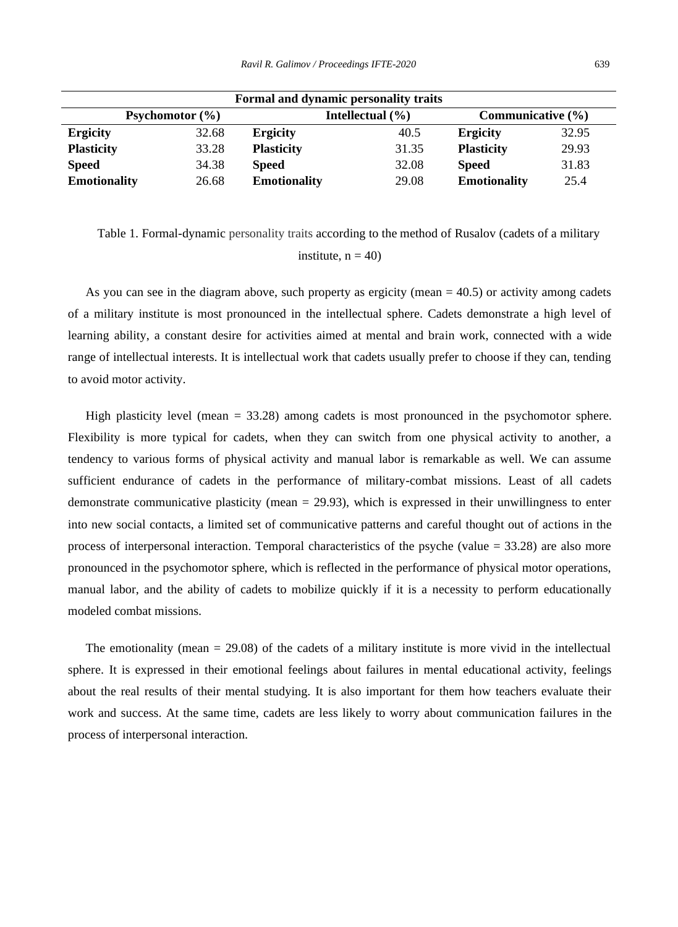| Formal and dynamic personality traits |       |                      |       |                       |       |
|---------------------------------------|-------|----------------------|-------|-----------------------|-------|
| <b>Psychomotor</b> $(\% )$            |       | Intellectual $(\% )$ |       | Communicative $(\% )$ |       |
| <b>Ergicity</b>                       | 32.68 | <b>Ergicity</b>      | 40.5  | <b>Ergicity</b>       | 32.95 |
| <b>Plasticity</b>                     | 33.28 | <b>Plasticity</b>    | 31.35 | <b>Plasticity</b>     | 29.93 |
| <b>Speed</b>                          | 34.38 | <b>Speed</b>         | 32.08 | <b>Speed</b>          | 31.83 |
| <b>Emotionality</b>                   | 26.68 | <b>Emotionality</b>  | 29.08 | <b>Emotionality</b>   | 25.4  |

Table 1. Formal-dynamic personality traits according to the method of Rusalov (cadets of a military institute,  $n = 40$ )

As you can see in the diagram above, such property as ergicity (mean = 40.5) or activity among cadets of a military institute is most pronounced in the intellectual sphere. Cadets demonstrate a high level of learning ability, a constant desire for activities aimed at mental and brain work, connected with a wide range of intellectual interests. It is intellectual work that cadets usually prefer to choose if they can, tending to avoid motor activity.

High plasticity level (mean = 33.28) among cadets is most pronounced in the psychomotor sphere. Flexibility is more typical for cadets, when they can switch from one physical activity to another, a tendency to various forms of physical activity and manual labor is remarkable as well. We can assume sufficient endurance of cadets in the performance of military-combat missions. Least of all cadets demonstrate communicative plasticity (mean  $= 29.93$ ), which is expressed in their unwillingness to enter into new social contacts, a limited set of communicative patterns and careful thought out of actions in the process of interpersonal interaction. Temporal characteristics of the psyche (value  $=$  33.28) are also more pronounced in the psychomotor sphere, which is reflected in the performance of physical motor operations, manual labor, and the ability of cadets to mobilize quickly if it is a necessity to perform educationally modeled combat missions.

The emotionality (mean  $= 29.08$ ) of the cadets of a military institute is more vivid in the intellectual sphere. It is expressed in their emotional feelings about failures in mental educational activity, feelings about the real results of their mental studying. It is also important for them how teachers evaluate their work and success. At the same time, cadets are less likely to worry about communication failures in the process of interpersonal interaction.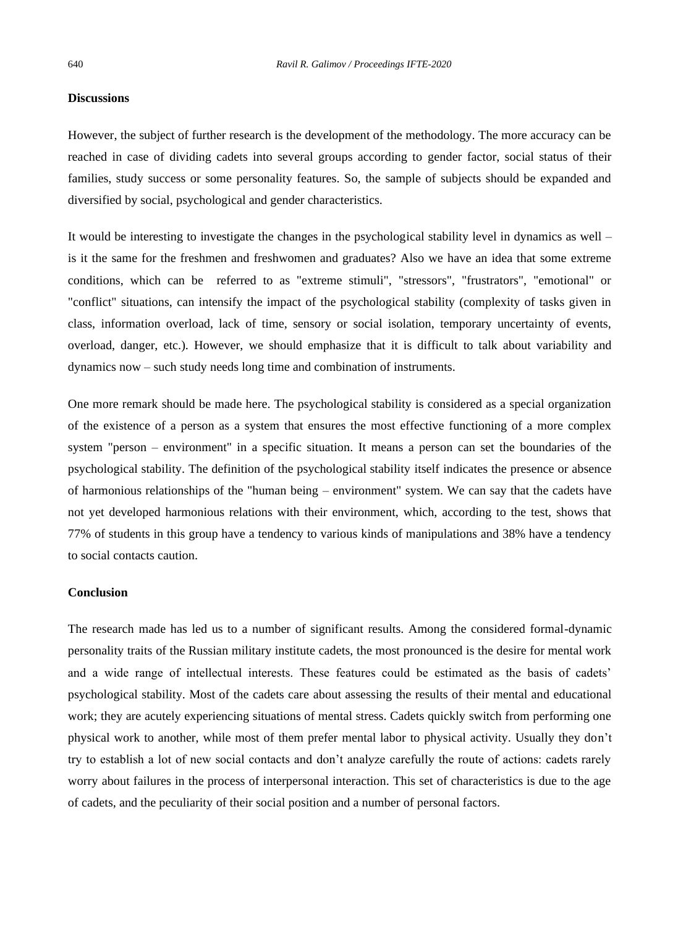## **Discussions**

However, the subject of further research is the development of the methodology. The more accuracy can be reached in case of dividing cadets into several groups according to gender factor, social status of their families, study success or some personality features. So, the sample of subjects should be expanded and diversified by social, psychological and gender characteristics.

It would be interesting to investigate the changes in the psychological stability level in dynamics as well – is it the same for the freshmen and freshwomen and graduates? Also we have an idea that some extreme conditions, which can be referred to as "extreme stimuli", "stressors", "frustrators", "emotional" or "conflict" situations, can intensify the impact of the psychological stability (complexity of tasks given in class, information overload, lack of time, sensory or social isolation, temporary uncertainty of events, overload, danger, etc.). However, we should emphasize that it is difficult to talk about variability and dynamics now – such study needs long time and combination of instruments.

One more remark should be made here. The psychological stability is considered as a special organization of the existence of a person as a system that ensures the most effective functioning of a more complex system "person – environment" in a specific situation. It means a person can set the boundaries of the psychological stability. The definition of the psychological stability itself indicates the presence or absence of harmonious relationships of the "human being – environment" system. We can say that the cadets have not yet developed harmonious relations with their environment, which, according to the test, shows that 77% of students in this group have a tendency to various kinds of manipulations and 38% have a tendency to social contacts caution.

## **Conclusion**

The research made has led us to a number of significant results. Among the considered formal-dynamic personality traits of the Russian military institute cadets, the most pronounced is the desire for mental work and a wide range of intellectual interests. These features could be estimated as the basis of cadets' psychological stability. Most of the cadets care about assessing the results of their mental and educational work; they are acutely experiencing situations of mental stress. Cadets quickly switch from performing one physical work to another, while most of them prefer mental labor to physical activity. Usually they don't try to establish a lot of new social contacts and don't analyze carefully the route of actions: cadets rarely worry about failures in the process of interpersonal interaction. This set of characteristics is due to the age of cadets, and the peculiarity of their social position and a number of personal factors.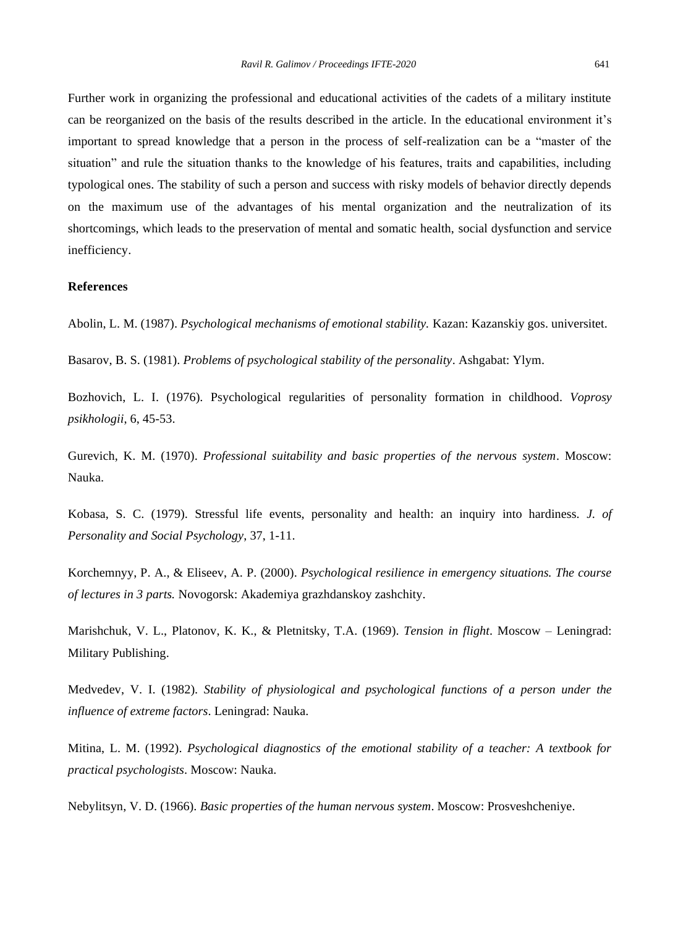Further work in organizing the professional and educational activities of the cadets of a military institute can be reorganized on the basis of the results described in the article. In the educational environment it's important to spread knowledge that a person in the process of self-realization can be a "master of the situation" and rule the situation thanks to the knowledge of his features, traits and capabilities, including typological ones. The stability of such a person and success with risky models of behavior directly depends on the maximum use of the advantages of his mental organization and the neutralization of its shortcomings, which leads to the preservation of mental and somatic health, social dysfunction and service inefficiency.

## **References**

Abolin, L. M. (1987). *Psychological mechanisms of emotional stability.* Kazan: Kazanskiy gos. universitet.

Basarov, B. S. (1981). *Problems of psychological stability of the personality*. Ashgabat: Ylym.

Bozhovich, L. I. (1976). Psychological regularities of personality formation in childhood. *Voprosy psikhologii*, 6, 45-53.

Gurevich, K. M. (1970). *Professional suitability and basic properties of the nervous system*. Moscow: Nauka.

Kobasa, S. C. (1979). Stressful life events, personality and health: an inquiry into hardiness. *J. of Personality and Social Psychology*, 37, 1-11.

Korchemnyy, P. A., & Eliseev, A. P. (2000). *Psychological resilience in emergency situations. The course of lectures in 3 parts.* Novogorsk: Akademiya grazhdanskoy zashchity.

Marishchuk, V. L., Platonov, K. K., & Pletnitsky, T.A. (1969). *Tension in flight*. Moscow – Leningrad: Military Publishing.

Medvedev, V. I. (1982). *Stability of physiological and psychological functions of a person under the influence of extreme factors*. Leningrad: Nauka.

Mitina, L. M. (1992). *Psychological diagnostics of the emotional stability of a teacher: A textbook for practical psychologists*. Moscow: Nauka.

Nebylitsyn, V. D. (1966). *Basic properties of the human nervous system*. Moscow: Prosveshcheniye.